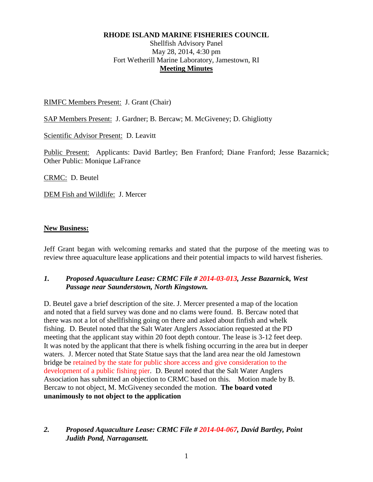#### **RHODE ISLAND MARINE FISHERIES COUNCIL**

## Shellfish Advisory Panel May 28, 2014, 4:30 pm Fort Wetherill Marine Laboratory, Jamestown, RI **Meeting Minutes**

#### RIMFC Members Present: J. Grant (Chair)

SAP Members Present: J. Gardner; B. Bercaw; M. McGiveney; D. Ghigliotty

Scientific Advisor Present: D. Leavitt

Public Present: Applicants: David Bartley; Ben Franford; Diane Franford; Jesse Bazarnick; Other Public: Monique LaFrance

CRMC: D. Beutel

DEM Fish and Wildlife: J. Mercer

#### **New Business:**

Jeff Grant began with welcoming remarks and stated that the purpose of the meeting was to review three aquaculture lease applications and their potential impacts to wild harvest fisheries.

### *1. Proposed Aquaculture Lease: CRMC File # 2014-03-013, Jesse Bazarnick, West Passage near Saunderstown, North Kingstown.*

D. Beutel gave a brief description of the site. J. Mercer presented a map of the location and noted that a field survey was done and no clams were found. B. Bercaw noted that there was not a lot of shellfishing going on there and asked about finfish and whelk fishing. D. Beutel noted that the Salt Water Anglers Association requested at the PD meeting that the applicant stay within 20 foot depth contour. The lease is 3-12 feet deep. It was noted by the applicant that there is whelk fishing occurring in the area but in deeper waters. J. Mercer noted that State Statue says that the land area near the old Jamestown bridge be retained by the state for public shore access and give consideration to the development of a public fishing pier. D. Beutel noted that the Salt Water Anglers Association has submitted an objection to CRMC based on this. Motion made by B. Bercaw to not object, M. McGiveney seconded the motion. **The board voted unanimously to not object to the application**

## *2. Proposed Aquaculture Lease: CRMC File # 2014-04-067, David Bartley, Point Judith Pond, Narragansett.*